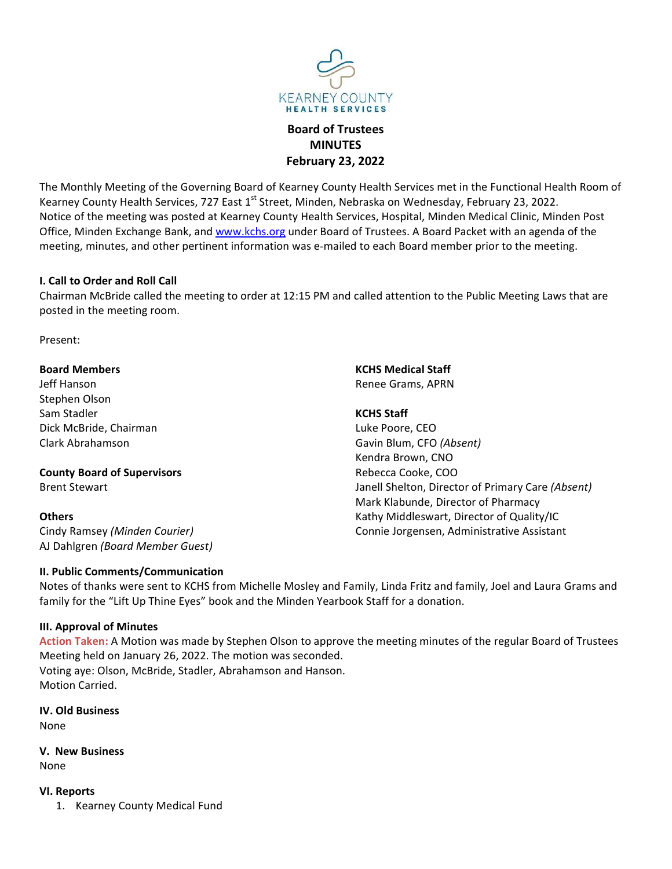

# MINUTES

EARNEY COUNTY<br>
EARNEY COUNTY<br>
Board of Trustees<br> **Board of Trustees<br>
MINUTES<br>
February 23, 2022**<br>
Parney County Health Services met in the Functional Health Room of<br>
It, Minden, Nebraska on Wednesday, February 23, 2022. EARNEY COUNTY<br>
HEALTH SERVICES<br> **Board of Trustees<br>
MINUTES**<br> **February 23, 2022**<br>
earney County Health Services met in the Functional Health Room of<br>
t, Minden, Nebraska on Wednesday, February 23, 2022.<br>
tty Health Servic The Monthly Meeting of the Governing Board of Kearney County Health Services<br> **Board of Trustees**<br> **Ebruary 23, 2022**<br> **The Monthly Meeting of the Governing Board of Kearney County Health Services met in the Functional Hea** KEARNEY COUNTY<br>
HEALTH SERVICES<br> **Board of Trustees**<br> **County Health Services**<br> **County Meeting of the Governing Board of Kearney County Health Services met in the Functional Health Room of<br>
Kearney County Health Services,** Notice of the Monthly Meeting of the Governing Board of Trustees<br> **Board of Trustees**<br> **Board of Trustees**<br> **COUNTY FEBRIVALUSTS**<br> **Example Monthly Meeting of the Governing Board of Kearney County Health Services, Hospital FEATINEY COUNTY**<br> **EXERUE YOUNTY**<br> **EXERUE TRANSEY COUNTY**<br> **EXERUE TRANSEY COUNTY**<br> **EXERUE TRANSE TRANSE FOR SOME OF TRANSE A BOARD OF TRANSE BANK, A BOARD FOR TRANSE A BOARD PACKET OF THE PACKET OF THE PACKET OF THE PA EXERITY THE MORTH WEATHEAT A SERVICE STAND THE MORTHLAND COUNTY THEAT AT SERVICES BOARD OF TRUSTAND PROTHER SCALL THE SERVICES FOR THE MORTH SERVICES THE MORTH SERVICES THE MEMORIAL SCALL THEORET SERVICES THE MEMORIAL MEM** Examples and the meeting to order at 12:15 PM and called attention to the Public Measure of Present:<br>
I. Call to Order and Roll Call to Order and Roll Call Structure is a present of National Roll Call Roll Call Call Call C CHAIRMEY COUNTY<br>
MINITES<br>
MINITES<br>
MACHAIRMEY COUNTY<br>
MACHAIRMEY COUNTY<br>
MINITES<br>
February 23, 2022<br>
Rearney County Health Services met in the Functional Health Room of<br>
Motice of the meeting was posted at Kearney County H EXEARINEY COUNTY<br>
EALTH SERVICES<br> **Board of Trustees**<br> **Board of Trustees**<br> **Ebruary 23, 2022**<br>
The Monthly Meeting of the Governing Board of Kearney County Health Services met in the Fun<br>
Kearney County Health Services, 7 KEARNEY COUNTY<br>
Board of Trustees<br>
Board of Trustees<br>
Board of Trustees<br>
MINUTES<br>
February 23, 2022<br>
The Monthly Meeting of the Governing Board of Kearney County Health Services<br>
Kearney County Health Services, 727 East 1<sup></sup> Board of Trustees<br>
Board of Trustees<br>
Board of Trustees<br>
Health Veeting of the Governing Board of Kearney County Health Services<br>
Hearney County Health Services, 727 East 1<sup>31</sup> Street, Minden, Nebraska on We<br>
Notice of the Board of Trustees<br>
MINUTES<br>
February 23, 2022<br>
The Monthly Meeting of the Governing Board of Kearney County Health Services<br>
Kearney County Health Services, 727 East 1<sup>st</sup> Street, Minden, Nebraska on Wedness<br>
Notice of the MINUTES<br>
February 23, 2022<br>
Kearney County Health Services, 727 East 1<sup>3</sup> Street, Minden, Nebraska on We<br>
Notice of the meeting was posted at Kearney County Health Services, Hoppital<br>
Office, Minden Exchange Bank, and <u>www</u> February 23, 2022<br>
February 23, 2022<br>
Kearney County Health Services, 727 East 1<sup>3</sup> Street, Minden, Nebraska on Wednesday, Foliotec of the meeting was posted at Kearney County Health Services, 727 East 1<sup>3</sup> Street, Minden, The Monthly Meeting of the Governing Board of Kearney County Health Service<br>
Kearney County Health Services, 727 East 1<sup>st</sup> Street, Minden, Nebraska on Wed<br>
Notice of the meeting was posted at Kearney County Health Service Examey County Health Services, 727 East 1<sup>st</sup> Street, Minden, Nebraska on Wednesday, Feb<br>
Notice of the meeting was posted at Kearney County Health Services, Hospital, Minden Me<br>
Notice, Minden Exchange Bank, and <u>www.kchs</u> Notice of the meeting was posted at Kearney County Health Services, Hospital,<br>Office, Minden Exchange Bank, and <u>www.kchs.org</u> under Board of Trustees. A B<br>meeting, minutes, and other pertinent information was e-mailed to VIDETY<br>
YIDEES<br>
S<br>
S<br>
2022<br>
Plaalth Services met in the Functional Health Room of<br>
S<br>
S<br>
S<br>
S<br>
Cices, Hospital, Minden Medical Clinic, Minden Post<br>
of Trustees. A Board Packet with an agenda of the<br>
to each Board member pr Press<br>
S<br>
2022<br>
2022<br>
Health Services met in the Functional Health Room of<br>
praska on Wednesday, February 23, 2022.<br>
Erices. A Board Packet with an agenda of the<br>
10 ceach Board Packet with an agenda of the<br>
10 each Board

Present:

## **Others**

**I. Call to Order and Roll Call**<br>
Chairman McBride called the meeting to order at 12:15 PM and called attention to the Public Me<br>
posted in the meeting room.<br>
Present:<br> **Board Members**<br> **Examplished Courier**<br>
Stephen Olson **I. Call to Order and Roll Call<br>
Chairman McBride called the meeting to order at 12:15 PM and called attention to the Public Meeting<br>
posted in the meeting room.<br>
Present:<br>
<b>Board Members**<br> **Event Stand Members**<br>
Stephen O S<br>
2022<br>
2022<br>
Health Services met in the Functional Health Room of<br>
praska on Wednesday, February 23, 2022.<br>
prices, Hospital, Minden Medical Clinic, Minden Post<br>
f Trustees. A Board Packet with an agenda of the<br>
to each **2022**<br>
2022<br>
Health Services met in the Functional Health Room of<br>
praska on Wednesday, February 23, 2022.<br>
Vices, Hospital, Minden Medical Clinic, Minden Post<br>
of Trustees. A Board Packet with an agenda of the<br>
to each B Health Services met in the Functional Health Room of<br>praska on Wednesday, February 23, 2022.<br>rices, Hospital, Minden Medical Clinic, Minden Post<br>of Trustees. A Board Packet with an agenda of the<br>to each Board member prior Health Services met in the Functional Health Room of<br>praska on Wednesday, February 23, 2022.<br>The cices, Hospital, Minden Medical Clinic, Minden Post<br>of f Trustees. A Board Packet with an agenda of the<br>to each Board member oraska on Wednesday, February 23, 2022.<br>Vices, Hospital, Minden Medical Clinic, Minden Post<br>of Trustees. A Board Packet with an agenda of the<br>to each Board member prior to the meeting.<br>Called attention to the Public Meetin rices, Hospital, Minden Medical Clinic, Minden Post<br>of Trustees. A Board Packet with an agenda of the<br>to each Board member prior to the meeting.<br>Called attention to the Public Meeting Laws that are<br>**KCHS Medical Staff**<br>Ren of Trustees. A Board Packet with an agenda of the<br>to each Board member prior to the meeting.<br>Called attention to the Public Meeting Laws that are<br><br>called attention to the Public Meeting Laws that are<br>**KCHS Medical Staff**<br>R I to each Board member prior to the meeting.<br>
called attention to the Public Meeting Laws that are<br> **KCHS Medical Staff**<br>
Renee Grams, APRN<br> **KCHS Staff**<br>
Renee Grams, APRN<br> **KCHS Staff**<br>
Luke Poore, CEO<br>
Gavin Blum, CFO called attention to the Public Meeting Laws that are<br>**KCHS Medical Staff**<br>Renee Grams, APRN<br>**KCHS Staff**<br>Luke Poore, CEO<br>Gavin Blum, CFO (Absent)<br>Kendra Brown, CNO<br>Rebecca Cooke, COO<br>Mark Klabunde, Director of Primary Care Present:<br>
Notes of the meeting room.<br>
Sephen Olson<br>
Sephen Olson<br>
Set of Mansson<br>
Set of Michelle Chairman<br>
Click Mothelle, Chairman<br>
Clark Abrahamson<br>
Clark Abrahamson<br>
Clark Abrahamson<br>
Set of the Michelle Mosley and Fri Present:<br> **Board Members**<br>
Stephen Olson<br>
Stephen Olson<br>
Stephen Olson<br>
Stephen Colling Charman<br>
Clark Moranden of Supervisors<br>
Clark Moranden of Supervisors<br> **County Board of Supervisors**<br>
Clark Abrahamson<br>
County Board o

Chairman wicstide called the meeting to order at 12:15 PM and called attention to<br>
Dosted in the meeting room.<br>
Present:<br>
Board Members<br>
ISS An Stadien<br>
Stephen Olson<br>
Stephen Olson<br>
Clark Moralianson<br>
Clark Abrahamson<br>
Cl

**Board Members**<br> **IEREN AMORE SET AND AMORE SET AND AMORE SET AND AMONG THE SET AND SERVED AND SERVED CONDINENTIES CONDINSIVER CONTINUATION CONDINENTIES CONDINENT SCHOOLS CONDINENT SCHOOLS BET AND AMONG SUPPOSE SERVED COND Board Members**<br> **Action Mothers (Selfs Medical Staff**<br>
Left Hanson<br>
Sam Stadler<br>
Dick McBride, Chairman<br>
Sam Stadler<br>
Clark Abrahamson<br> **Com Star Stevart Board of Supervisors**<br> **Event Stevart Board of Supervisors**<br> **Servi** Uef Hanson<br>
Stephen Olson<br>
Stephen Olson<br>
Signis Stadler<br>
Olck McBride, Chairman<br>
Clark Abstrahamson<br>
Clark Abstrahamson<br>
County Board of Supervisors<br>
Econded of Supervisors<br>
Econded on January 26, 2022.<br>
Mark Klabunde, Di Stephen Olson, McHS Staff<br>
Sam Stadler<br>
Dick McBride, Chairman<br>
Sam Stadler<br>
Clark Abrahamson<br>
Clark Abrahamson<br>
Clark Abrahamson<br>
Brent Stewart<br>
Brent Stewart<br>
Brent Stewart<br>
Denters<br>
McBride, Color (Absent)<br>
Abrahamson M Sam Stadler<br>
Clark Abrahide, Chairman<br>
Clark Abrahamson<br>
Clark Abrahamson<br>
County Board of Supervisors<br>
Servisors<br>
Mork Kabunde, Internal Shelton, Different Stewart<br>
Mark Kabunde, Internal Shelton, Different Stewart<br>
Mark Clark Abrahamson<br>
Cavin Blum, CFC<br>
County Board of Supervisors<br>
Brent Stewart<br>
Brent Stewart<br>
Denters<br>
Conders<br>
Conders<br>
Clark Klabunde,<br>
Clark Klabunde,<br>
Clark Klabunde,<br>
Clark Klabunde,<br>
Connie Josephen<br>
Al Dahlgren (*Bo* Example University of the Section of Septembers (Section All Chern Section All Chern Section All Chern Schulters Cindy Ramsey (*Minden Courier*) and Dahlgren *(Board Member Guest)*<br>
I. Public Comments/Communication<br>
Notes Others<br>
Cindy Ramsey *(Minden Courier)*<br>
Connie Joge Many Middl<br>
Al Dahlgren *(Board Member Guest)*<br>
II. Public Comments/Communication<br>
Notes of thanks were sent to KCHS from Michelle Mosley and Family, Linda Family for th Connie Jorgensen, Administrative Assistance<br>
London's Communication<br>
1. Unbilic Communication<br>
1. Communication<br>
1. Communication<br>
1. Communication<br>
1. Kearney County Medical Funds Members of the Minder Nearbook Staff for

None

None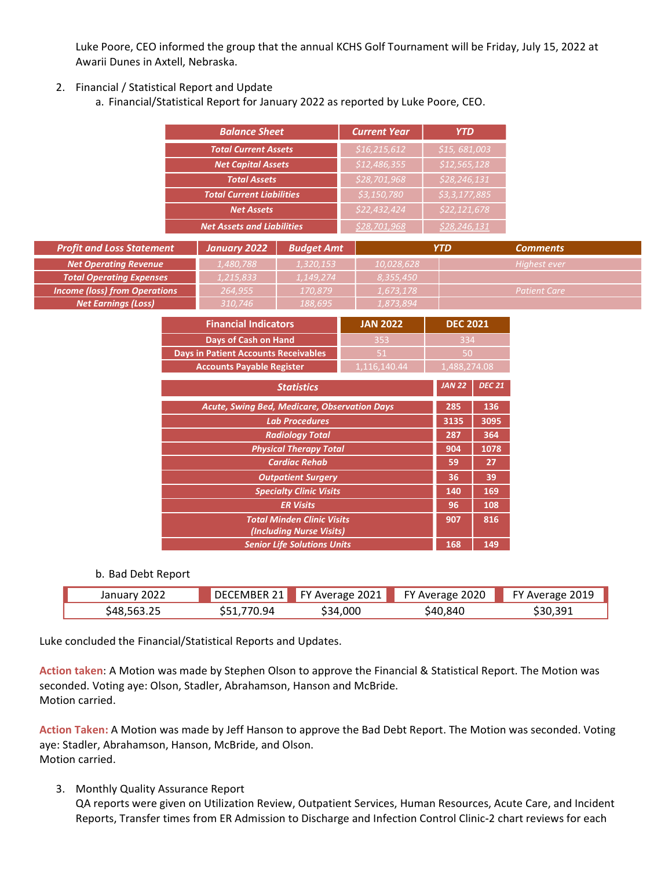Luke Poore, CEO informed the group that the annual KCHS Golf Tournament will be Friday, July 15, 2022 at<br>Awarii Dunes in Axtell, Nebraska.<br>Financial / Statistical Report and Update<br>a. Financial/Statistical Report for Janua Luke Poore, CEO informed the group that the annual KCHS Golf Tournament will be Friday, July 1<br>Awarii Dunes in Axtell, Nebraska.<br>Financial / Statistical Report and Update<br>a. Financial/Statistical Report for January 2022 as

| Luke Poore, CEO informed the group that the annual KCHS Golf Tournament will be Friday, July 15, 2022 at |                                                                                  |                                                    |                                                                                |                                |                     |  |
|----------------------------------------------------------------------------------------------------------|----------------------------------------------------------------------------------|----------------------------------------------------|--------------------------------------------------------------------------------|--------------------------------|---------------------|--|
| Awarii Dunes in Axtell, Nebraska.                                                                        |                                                                                  |                                                    |                                                                                |                                |                     |  |
|                                                                                                          |                                                                                  |                                                    |                                                                                |                                |                     |  |
| 2. Financial / Statistical Report and Update                                                             |                                                                                  |                                                    |                                                                                |                                |                     |  |
|                                                                                                          | a. Financial/Statistical Report for January 2022 as reported by Luke Poore, CEO. |                                                    |                                                                                |                                |                     |  |
|                                                                                                          |                                                                                  |                                                    |                                                                                |                                |                     |  |
|                                                                                                          | <b>Balance Sheet</b>                                                             |                                                    | <b>Current Year</b>                                                            | <b>YTD</b>                     |                     |  |
|                                                                                                          |                                                                                  |                                                    |                                                                                |                                |                     |  |
|                                                                                                          | <b>Total Current Assets</b>                                                      |                                                    | \$16,215,612                                                                   | \$15,681,003                   |                     |  |
|                                                                                                          | <b>Net Capital Assets</b>                                                        |                                                    | \$12,486,355                                                                   | \$12,565,128                   |                     |  |
|                                                                                                          | <b>Total Assets</b>                                                              |                                                    | \$28,701,968                                                                   | \$28,246,131                   |                     |  |
|                                                                                                          | <b>Total Current Liabilities</b>                                                 |                                                    | \$3,150,780                                                                    | \$3,3,177,885                  |                     |  |
|                                                                                                          | <b>Net Assets</b>                                                                |                                                    | \$22,432,424                                                                   | \$22,121,678                   |                     |  |
|                                                                                                          | <b>Net Assets and Liabilities</b>                                                |                                                    | \$28,701,968                                                                   | \$28,246,131                   |                     |  |
| <b>Profit and Loss Statement</b>                                                                         | <b>January 2022</b>                                                              | <b>Budget Amt</b>                                  |                                                                                | <b>YTD</b>                     | <b>Comments</b>     |  |
| <b>Net Operating Revenue</b>                                                                             | 1,480,788                                                                        | 1,320,153                                          | 10,028,628                                                                     |                                | Highest ever        |  |
| <b>Total Operating Expenses</b>                                                                          | 1,215,833                                                                        | 1,149,274                                          | 8,355,450                                                                      |                                |                     |  |
| <b>Income (loss) from Operations</b>                                                                     | 264,955                                                                          | 170,879                                            | 1,673,178                                                                      |                                | <b>Patient Care</b> |  |
| <b>Net Earnings (Loss)</b>                                                                               | 310,746                                                                          | 188,695                                            | 1,873,894                                                                      |                                |                     |  |
|                                                                                                          | <b>Financial Indicators</b>                                                      |                                                    | <b>JAN 2022</b>                                                                | <b>DEC 2021</b>                |                     |  |
|                                                                                                          | Days of Cash on Hand                                                             |                                                    | 353                                                                            | 334                            |                     |  |
|                                                                                                          | <b>Days in Patient Accounts Receivables</b>                                      |                                                    | 51                                                                             | 50                             |                     |  |
|                                                                                                          | <b>Accounts Payable Register</b>                                                 |                                                    | 1,116,140.44                                                                   | 1,488,274.08                   |                     |  |
|                                                                                                          |                                                                                  | <b>Statistics</b>                                  |                                                                                | <b>JAN 22</b><br><b>DEC 21</b> |                     |  |
|                                                                                                          |                                                                                  |                                                    |                                                                                |                                |                     |  |
|                                                                                                          | Acute, Swing Bed, Medicare, Observation Days                                     |                                                    |                                                                                | 136<br>285                     |                     |  |
|                                                                                                          |                                                                                  | <b>Lab Procedures</b>                              |                                                                                | 3135<br>3095                   |                     |  |
|                                                                                                          |                                                                                  | <b>Radiology Total</b>                             |                                                                                | 364<br>287                     |                     |  |
|                                                                                                          |                                                                                  | <b>Physical Therapy Total</b>                      |                                                                                | 904<br>1078                    |                     |  |
|                                                                                                          |                                                                                  | <b>Cardiac Rehab</b>                               |                                                                                | 27<br>59                       |                     |  |
|                                                                                                          |                                                                                  | <b>Outpatient Surgery</b>                          |                                                                                | 39<br>36<br>169                |                     |  |
|                                                                                                          |                                                                                  | <b>Specialty Clinic Visits</b><br><b>ER Visits</b> |                                                                                | 140<br>96<br>108               |                     |  |
|                                                                                                          |                                                                                  |                                                    | 816<br>907                                                                     |                                |                     |  |
|                                                                                                          |                                                                                  |                                                    | <b>Total Minden Clinic Visits</b><br><b><i>Construction Atoms Attached</i></b> |                                |                     |  |

|                                                                                                                |                    | <b>Total Current Liabilities</b>             |                                                       | \$3,150,780     | \$3,3,177,885   |               |                                                                                                              |
|----------------------------------------------------------------------------------------------------------------|--------------------|----------------------------------------------|-------------------------------------------------------|-----------------|-----------------|---------------|--------------------------------------------------------------------------------------------------------------|
|                                                                                                                |                    | <b>Net Assets</b>                            |                                                       | \$22,432,424    | \$22,121,678    |               |                                                                                                              |
|                                                                                                                |                    | <b>Net Assets and Liabilities</b>            |                                                       | \$28,701,968    | \$28,246,131    |               |                                                                                                              |
| <b>Profit and Loss Statement</b>                                                                               |                    | <b>January 2022</b>                          | <b>Budget Amt</b>                                     |                 | <b>YTD</b>      |               | <b>Comments</b>                                                                                              |
| <b>Net Operating Revenue</b>                                                                                   |                    | 1,480,788                                    | 1,320,153                                             | 10,028,628      |                 |               | Highest ever                                                                                                 |
| <b>Total Operating Expenses</b>                                                                                |                    | 1,215,833                                    | 1,149,274                                             | 8,355,450       |                 |               |                                                                                                              |
| <b>Income (loss) from Operations</b>                                                                           |                    | 264,955                                      | 170,879                                               | 1,673,178       |                 |               | <b>Patient Care</b>                                                                                          |
| <b>Net Earnings (Loss)</b>                                                                                     |                    | 310,746                                      | 188,695                                               | 1,873,894       |                 |               |                                                                                                              |
|                                                                                                                |                    | <b>Financial Indicators</b>                  |                                                       | <b>JAN 2022</b> | <b>DEC 2021</b> |               |                                                                                                              |
|                                                                                                                |                    | Days of Cash on Hand                         |                                                       | 353             | 334             |               |                                                                                                              |
|                                                                                                                |                    | <b>Days in Patient Accounts Receivables</b>  |                                                       | 51              | 50              |               |                                                                                                              |
|                                                                                                                |                    | <b>Accounts Payable Register</b>             |                                                       | 1,116,140.44    | 1,488,274.08    |               |                                                                                                              |
|                                                                                                                |                    |                                              | <b>Statistics</b>                                     |                 | JAN 22          | <b>DEC 21</b> |                                                                                                              |
|                                                                                                                |                    | Acute, Swing Bed, Medicare, Observation Days |                                                       |                 | 285             | 136           |                                                                                                              |
|                                                                                                                |                    |                                              | <b>Lab Procedures</b>                                 |                 | 3135            | 3095          |                                                                                                              |
|                                                                                                                |                    |                                              | <b>Radiology Total</b>                                |                 | 287             | 364           |                                                                                                              |
|                                                                                                                |                    |                                              | <b>Physical Therapy Total</b><br><b>Cardiac Rehab</b> |                 | 904<br>59       | 1078<br>27    |                                                                                                              |
|                                                                                                                |                    |                                              | <b>Outpatient Surgery</b>                             |                 | 36              | 39            |                                                                                                              |
|                                                                                                                |                    |                                              | <b>Specialty Clinic Visits</b>                        |                 | 140             | 169           |                                                                                                              |
|                                                                                                                |                    |                                              | <b>ER Visits</b>                                      |                 | 96              | 108           |                                                                                                              |
|                                                                                                                |                    |                                              | <b>Total Minden Clinic Visits</b>                     |                 | 907             | 816           |                                                                                                              |
|                                                                                                                |                    |                                              | (Including Nurse Visits)                              |                 | 168             |               |                                                                                                              |
|                                                                                                                |                    |                                              | <b>Senior Life Solutions Units</b>                    |                 |                 | 149           |                                                                                                              |
|                                                                                                                | b. Bad Debt Report |                                              |                                                       |                 |                 |               |                                                                                                              |
| January 2022                                                                                                   |                    | DECEMBER 21                                  | FY Average 2021                                       |                 | FY Average 2020 |               | FY Average 2019                                                                                              |
| \$48,563.25                                                                                                    |                    | \$51,770.94                                  | \$34,000                                              |                 | \$40,840        |               | \$30,391                                                                                                     |
|                                                                                                                |                    |                                              |                                                       |                 |                 |               |                                                                                                              |
| Luke concluded the Financial/Statistical Reports and Updates.                                                  |                    |                                              |                                                       |                 |                 |               |                                                                                                              |
|                                                                                                                |                    |                                              |                                                       |                 |                 |               |                                                                                                              |
| Action taken: A Motion was made by Stephen Olson to approve the Financial & Statistical Report. The Motion was |                    |                                              |                                                       |                 |                 |               |                                                                                                              |
| seconded. Voting aye: Olson, Stadler, Abrahamson, Hanson and McBride.                                          |                    |                                              |                                                       |                 |                 |               |                                                                                                              |
| Motion carried.                                                                                                |                    |                                              |                                                       |                 |                 |               |                                                                                                              |
|                                                                                                                |                    |                                              |                                                       |                 |                 |               |                                                                                                              |
| Action Taken: A Motion was made by Jeff Hanson to approve the Bad Debt Report. The Motion was seconded. Voting |                    |                                              |                                                       |                 |                 |               |                                                                                                              |
| aye: Stadler, Abrahamson, Hanson, McBride, and Olson.                                                          |                    |                                              |                                                       |                 |                 |               |                                                                                                              |
| Motion carried.                                                                                                |                    |                                              |                                                       |                 |                 |               |                                                                                                              |
|                                                                                                                |                    |                                              |                                                       |                 |                 |               |                                                                                                              |
| <b>Monthly Quality Assurance Report</b><br>3.                                                                  |                    |                                              |                                                       |                 |                 |               |                                                                                                              |
|                                                                                                                |                    |                                              |                                                       |                 |                 |               | QA reports were given on Utilization Review, Outpatient Services, Human Resources, Acute Care, and Incident  |
|                                                                                                                |                    |                                              |                                                       |                 |                 |               | Reports, Transfer times from ER Admission to Discharge and Infection Control Clinic-2 chart reviews for each |
|                                                                                                                |                    |                                              |                                                       |                 |                 |               |                                                                                                              |

| 2022<br>January | DECI                        | 2021<br>EV 1<br>Average<br>2021 | 2020<br>гv.<br>Average | 2019<br>$- \cdot$<br>$-V$<br>Average |
|-----------------|-----------------------------|---------------------------------|------------------------|--------------------------------------|
| بے۔۔648,56      | 770<br>чд<br><u>.</u><br>-- | 4,000<br>\$34                   | \$40,840               | \$30,391                             |

Total Minden Clinic Visits<br>
168 March Clinic Uncluding Nurse Visits<br>
5. Senior Life Solutions Units<br>
168 168 169<br>
168 168 169<br>
168 169<br>
168 169<br>
168 169<br>
168 169<br>
169 169<br>
169 169<br>
169 169<br>
169 169<br>
169 169<br>
169 169<br>
169 1 Christopher United Service United Services United Services Control Christopher 2022<br>
DRA Debt Report<br>
January 2022 DECEMBER 21 FY Average 2021 FY Average 2020 FY Average 2019<br>
S48,563.25 S51,770.94 S34,000 S40,840 S30,391<br> Senior Life Solutions Units<br>
168 | 149<br>
168 | 149<br>
168 | 2022 | DECEMBER 21 | FY Average 2021 | FY Average 2020 | FY Average 2019<br>
548,563.25 551,770.94 534,000 540,840 530,391<br>
169,8563.25 551,770.94 534,000 540,840 530,3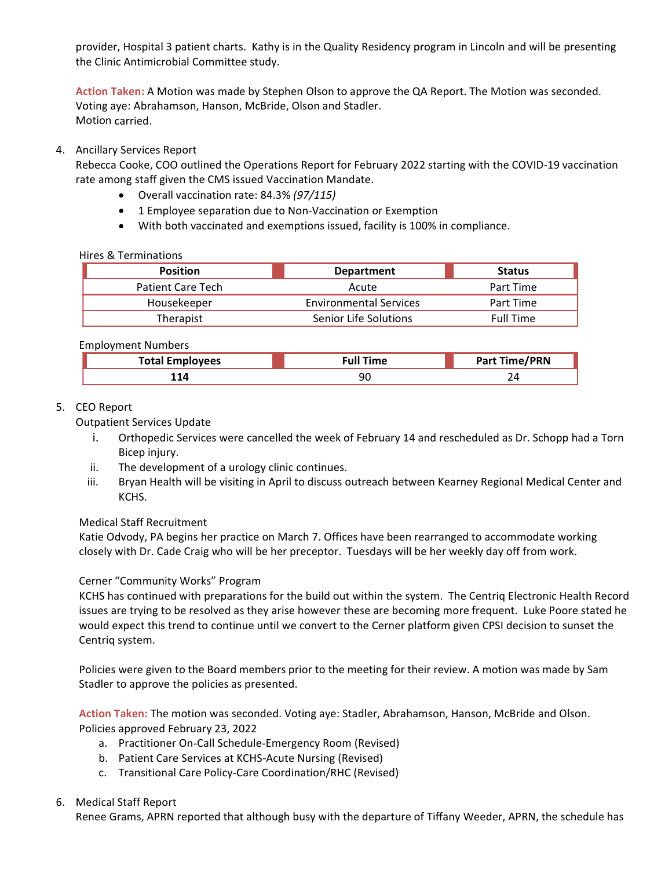provider, Hospital 3 patient charts. Kathy is in the Quality Residency program in Lincoln and will be presenting<br>the Clinic Antimicrobial Committee study.<br><mark>Action Taken</mark>: A Motion was made by Stephen Olson to approve the provider, Hospital 3 patient charts. Kathy is in the Quality Residency program in Lincoln and will be presentin<br>the Clinic Antimicrobial Committee study.<br><mark>Action Taken</mark>: A Motion was made by Stephen Olson to approve the QA provider, Hospital 3 patient charts. Kathy is in the Quality Residency program in Lincoln and will be presenting<br>the Clinic Antimicrobial Committee study.<br><mark>Action Taken:</mark> A Motion was made by Stephen Olson to approve the Q provider, Hospital 3 patient charts. Kathy is in the Quality Residency program in Lincoln and will be presenting<br>the Clinic Antimicrobial Committee study.<br>Action Taken: A Motion was made by Stephen Olson to approve the QA Motion carried. provider, Hospital 3 patient charts. Kathy is in the Quality Residency program in Lincoln and<br>the Clinic Antimicrobial Committee study.<br> **Action Taken:** A Motion was made by Stephen Olson to approve the QA Report. The Moti provider, Hospital 3 patient charts. Kathy is in the Quality Residency program in Lincoln and will be presenting<br>the Clinic Antimicrobial Committee study.<br>Action Taken: A Motion was made by Stephen Olson to approve the QA provider, Hospital 3 patient charts. Kathy is in the Quality Residency program in Lincoln and will be presenting<br>the Clinic Antimicrobial Committee study.<br>Action Taken: A Motion was made by Stephen Olson to approve the QA Spital 3 patient charts. Kathy is in the Quality Residency program in Lincoln and will be presenting<br>
1. A Motion was made by Stephen Olson to approve the QA Report. The Motion was seconded.<br>
1. A Motion was made by Stephe spital 3 patient charts. Kathy is in the Quality Residency program in Lincoln and will be presenting<br>timicrobial Committee study.<br>
1: A Motion was made by Stephen Olson to approve the QA Report. The Motion was seconded.<br>
I

- 
- 
- 

|    | provider, Hospital 3 patient charts. Kathy is in the Quality Residency program in Lincoln and will be presenting<br>the Clinic Antimicrobial Committee study.                                                                                                                                                                                                                                                                                                                                                                                                |                                                                                                                                                                                                               |                      |  |
|----|--------------------------------------------------------------------------------------------------------------------------------------------------------------------------------------------------------------------------------------------------------------------------------------------------------------------------------------------------------------------------------------------------------------------------------------------------------------------------------------------------------------------------------------------------------------|---------------------------------------------------------------------------------------------------------------------------------------------------------------------------------------------------------------|----------------------|--|
|    | Action Taken: A Motion was made by Stephen Olson to approve the QA Report. The Motion was seconded.<br>Voting aye: Abrahamson, Hanson, McBride, Olson and Stadler.<br>Motion carried.                                                                                                                                                                                                                                                                                                                                                                        |                                                                                                                                                                                                               |                      |  |
|    | 4. Ancillary Services Report<br>Rebecca Cooke, COO outlined the Operations Report for February 2022 starting with the COVID-19 vaccination<br>rate among staff given the CMS issued Vaccination Mandate.<br>• Overall vaccination rate: 84.3% (97/115)<br>$\bullet$                                                                                                                                                                                                                                                                                          | 1 Employee separation due to Non-Vaccination or Exemption<br>With both vaccinated and exemptions issued, facility is 100% in compliance.                                                                      |                      |  |
|    | <b>Hires &amp; Terminations</b>                                                                                                                                                                                                                                                                                                                                                                                                                                                                                                                              |                                                                                                                                                                                                               |                      |  |
|    | <b>Position</b>                                                                                                                                                                                                                                                                                                                                                                                                                                                                                                                                              | <b>Department</b>                                                                                                                                                                                             | <b>Status</b>        |  |
|    | <b>Patient Care Tech</b>                                                                                                                                                                                                                                                                                                                                                                                                                                                                                                                                     | Acute                                                                                                                                                                                                         | Part Time            |  |
|    | Housekeeper                                                                                                                                                                                                                                                                                                                                                                                                                                                                                                                                                  | <b>Environmental Services</b>                                                                                                                                                                                 | Part Time            |  |
|    | Therapist                                                                                                                                                                                                                                                                                                                                                                                                                                                                                                                                                    | Senior Life Solutions                                                                                                                                                                                         | <b>Full Time</b>     |  |
|    | <b>Employment Numbers</b>                                                                                                                                                                                                                                                                                                                                                                                                                                                                                                                                    |                                                                                                                                                                                                               |                      |  |
|    | <b>Total Employees</b>                                                                                                                                                                                                                                                                                                                                                                                                                                                                                                                                       | <b>Full Time</b>                                                                                                                                                                                              | <b>Part Time/PRN</b> |  |
|    | 114                                                                                                                                                                                                                                                                                                                                                                                                                                                                                                                                                          | 90                                                                                                                                                                                                            | 24                   |  |
| 5. | <b>CEO Report</b><br><b>Outpatient Services Update</b><br>Bicep injury.<br>The development of a urology clinic continues.<br>ii.<br>iii.<br>KCHS.<br><b>Medical Staff Recruitment</b><br>Katie Odvody, PA begins her practice on March 7. Offices have been rearranged to accommodate working<br>closely with Dr. Cade Craig who will be her preceptor. Tuesdays will be her weekly day off from work.<br>Cerner "Community Works" Program<br>KCHS has continued with preparations for the build out within the system. The Centriq Electronic Health Record | Orthopedic Services were cancelled the week of February 14 and rescheduled as Dr. Schopp had a Torn<br>Bryan Health will be visiting in April to discuss outreach between Kearney Regional Medical Center and |                      |  |
|    | issues are trying to be resolved as they arise however these are becoming more frequent. Luke Poore stated he<br>would expect this trend to continue until we convert to the Cerner platform given CPSI decision to sunset the                                                                                                                                                                                                                                                                                                                               |                                                                                                                                                                                                               |                      |  |

| $T0$ tal<br>. | -rull ਾਂ<br><b>Time</b> | - /nnn'<br>. |
|---------------|-------------------------|--------------|
| $-1$<br>ᅩᅩᅮ   | 90                      | ∠⊣           |

- 
- 
- KCHS.

Employment Numbers<br>
Therapist Fortections<br>
Therapist Fortections<br>
Total Employees<br>
Total Employees<br>
Total Employees<br>
Total Employees<br>
Total Employees<br>
114 90 Part Time /P1<br>
24<br>
24<br>
Dictions<br>
Bic propertions<br>
Dictions<br>
CEO Employment Numbers<br> **Employment Numbers**<br> **Employment Numbers**<br> **Examployment Stand Employees**<br> **Example 1144**<br> **Example 1144**<br> **Example 1144**<br> **Example 1144**<br> **Example 1144**<br> **Example 1144**<br> **Example 1144**<br> **Example 1144** Employment Numbers<br> **Fortal Employees**<br> **Fortal Employees**<br> **Fortal Employees**<br> **CEO Report**<br>
Dutpatient Services Update<br> **ii.** Orthopedic Services were cancelled the week of February 14 and rescheduled as Dr. Schopp had a Total Employees<br>
Total Employees<br>
114 90 Part Time/PRN<br>
114 90 Part Time/PRN<br>
12 CD Report<br>
1. Orthopedic Services were cancelled the week of February 14 and rescheduled as Dr. Schopp had a Torn<br>
1. The development of a ur 114 1990<br>
114 1990<br>
114 1990<br>
114 1990<br>
114 1990<br>
114 1990<br>
114 1990<br>
120 Report<br>
116 Oktopadic Services were cancelled the week of February 14 and resched<br>
116 Bicep injury.<br>
11. The development of a urology clinic contin CEO Report<br>
i. Orthopedic Services were cancelled the week of February 14 and rescheduled as Dr. Schopp had a Torn<br>
Bicep injury.<br>
iii. The development of a urology clinic continues.<br>
iii. Bryan Health will be visiting in Examplering Suppleriant Services Update<br>
i. Orthopedic Services were cancelled the week of February 14 and rescheduled as Dr. Schopp had a 1<br>
ii. Orthopedic Services were cancelled the week of February 14 and rescheduled a 1. Untripelate Services were canceled the week of February 14 and reschredued as Dr. Schopp had a Torn<br>
ii. The development of a urology chiric continues.<br>
iii. Brown Health will be visiting in April to discuss outreach be ii. The development of a urology clinic continues.<br>
iii. Bryan Health will be visiting in April to discuss outreach between Kearney Regional Medical Cent<br>
KCHS.<br>
KCHS KCHS.<br>
Medical Staff Recruitment<br>
Katie Odvody, PA begi ine evevelynent or a urology cinnic continues.<br>
Figure are depicted in April to discuss outreach between Kearney Regional Medical Center and<br>
KCHS.<br>
Idical Staff Recruitment<br>
EV divody, PA begins her practice on March 7. O bryan heatin will be visiting in April to discuss outreach between keariney kegional inetiata center and<br>ical Staff Recruitment<br>clical Staff Recruitment<br>every <sup>P</sup>Community Works<sup>2</sup> Program<br>eyer <sup>oc</sup> Community Works<sup>2</sup> Prog knas.<br>
Itical Staff Recruitment<br>
eicoldstaff Recruitment<br>
eicoldstaff Recruitment<br>
elv with Dr. Cade Craig who will be her preceptor. Tuesdays will be her weekly day off from work.<br>
Iter "Community Works" Program<br>
First co Katie Odvody, PA begins her practice on March 7. Offices have been rearranged to accelosely with Dr. Cade Craig who will be her preceptor. Tuesdays will be her weekly day<br>Cerner "Community Works" Program<br>KCHS has continued closely with Dr. Cade Craig who will be her preceptor. Tuesdays will be her weekly day off from work.<br>
Cerner "Community Works" Program<br>
KCHS has continued with preparations for the build out within the system. The Centriq

- 
- 
-